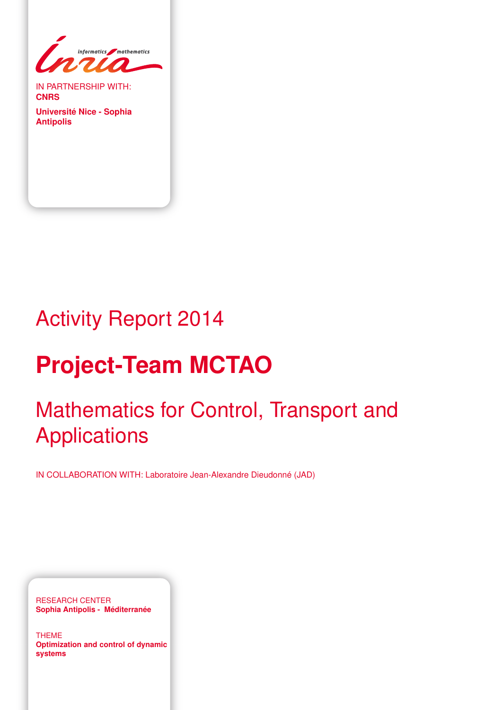

IN PARTNERSHIP WITH: **CNRS**

**Université Nice - Sophia Antipolis**

# Activity Report 2014

# **Project-Team MCTAO**

# Mathematics for Control, Transport and Applications

IN COLLABORATION WITH: Laboratoire Jean-Alexandre Dieudonné (JAD)

RESEARCH CENTER **Sophia Antipolis - Méditerranée**

THEME **Optimization and control of dynamic systems**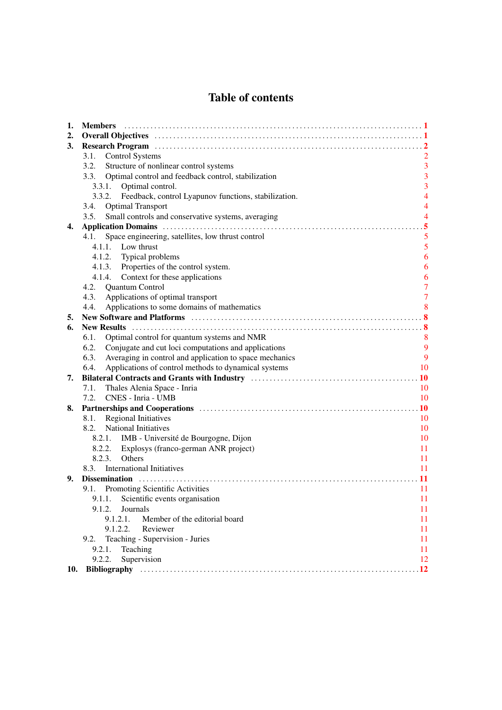# Table of contents

| 1.  | <b>Members</b>                                                  |                |
|-----|-----------------------------------------------------------------|----------------|
| 2.  |                                                                 |                |
| 3.  |                                                                 |                |
|     | <b>Control Systems</b><br>3.1.                                  |                |
|     | 3.2.<br>Structure of nonlinear control systems                  | $\overline{3}$ |
|     | Optimal control and feedback control, stabilization<br>3.3.     | 3              |
|     | Optimal control.<br>3.3.1.                                      | 3              |
|     | 3.3.2.<br>Feedback, control Lyapunov functions, stabilization.  | $\overline{4}$ |
|     | <b>Optimal Transport</b><br>3.4.                                | $\overline{4}$ |
|     | Small controls and conservative systems, averaging<br>3.5.      | $\overline{4}$ |
| 4.  |                                                                 | 5              |
|     | Space engineering, satellites, low thrust control<br>4.1.       | 5              |
|     | 4.1.1. Low thrust                                               | 5              |
|     | 4.1.2. Typical problems                                         | 6              |
|     | 4.1.3. Properties of the control system.                        | 6              |
|     | Context for these applications<br>4.1.4.                        | 6              |
|     | 4.2. Quantum Control                                            | 7              |
|     | Applications of optimal transport<br>4.3.                       | $\overline{7}$ |
|     | Applications to some domains of mathematics<br>4.4.             | 8              |
| 5.  |                                                                 |                |
| 6.  |                                                                 |                |
|     | Optimal control for quantum systems and NMR<br>6.1.             | 8              |
|     | 6.2.<br>Conjugate and cut loci computations and applications    | 9              |
|     | Averaging in control and application to space mechanics<br>6.3. | 9              |
|     | Applications of control methods to dynamical systems<br>6.4.    | 10             |
| 7.  |                                                                 |                |
|     | Thales Alenia Space - Inria<br>7.1.                             | 10             |
|     | 7.2.<br>CNES - Inria - UMB                                      | 10             |
| 8.  |                                                                 | <b>10</b>      |
|     | <b>Regional Initiatives</b><br>8.1.                             | 10             |
|     | 8.2.<br>National Initiatives                                    | 10             |
|     | 8.2.1. IMB - Université de Bourgogne, Dijon                     | 10             |
|     | Explosys (franco-german ANR project)<br>8.2.2.                  | 11             |
|     | 8.2.3.<br>Others                                                | 11             |
|     | <b>International Initiatives</b><br>8.3.                        | 11             |
| 9.  |                                                                 | 11             |
|     | 9.1. Promoting Scientific Activities                            | 11             |
|     | 9.1.1. Scientific events organisation                           | 11             |
|     | Journals<br>9.1.2.                                              | 11             |
|     | 9.1.2.1.<br>Member of the editorial board                       | 11             |
|     | Reviewer<br>9.1.2.2.                                            | 11             |
|     | Teaching - Supervision - Juries<br>9.2.                         | 11             |
|     | 9.2.1.<br>Teaching                                              | 11             |
|     | Supervision<br>9.2.2.                                           | 12             |
| 10. |                                                                 | $\cdot$ 12     |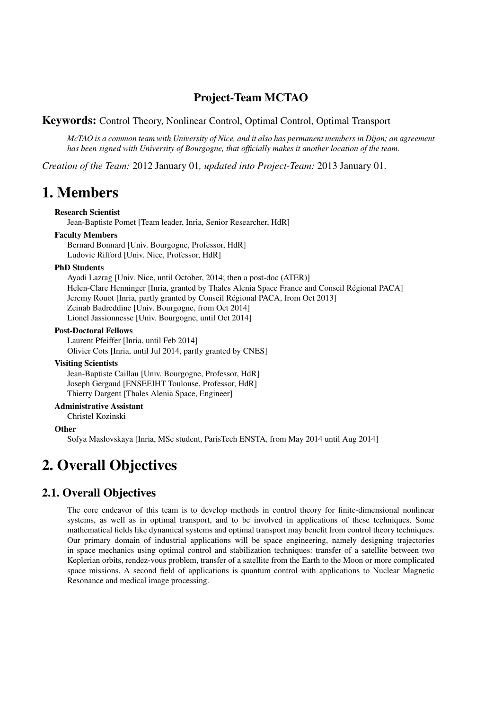# Project-Team MCTAO

# Keywords: Control Theory, Nonlinear Control, Optimal Control, Optimal Transport

*McTAO is a common team with University of Nice, and it also has permanent members in Dijon; an agreement has been signed with University of Bourgogne, that officially makes it another location of the team.*

*Creation of the Team:* 2012 January 01*, updated into Project-Team:* 2013 January 01.

# <span id="page-4-0"></span>1. Members

#### Research Scientist

Jean-Baptiste Pomet [Team leader, Inria, Senior Researcher, HdR]

#### Faculty Members

Bernard Bonnard [Univ. Bourgogne, Professor, HdR] Ludovic Rifford [Univ. Nice, Professor, HdR]

#### PhD Students

Ayadi Lazrag [Univ. Nice, until October, 2014; then a post-doc (ATER)] Helen-Clare Henninger [Inria, granted by Thales Alenia Space France and Conseil Régional PACA] Jeremy Rouot [Inria, partly granted by Conseil Régional PACA, from Oct 2013] Zeinab Badreddine [Univ. Bourgogne, from Oct 2014] Lionel Jassionnesse [Univ. Bourgogne, until Oct 2014]

#### Post-Doctoral Fellows

Laurent Pfeiffer [Inria, until Feb 2014] Olivier Cots [Inria, until Jul 2014, partly granted by CNES]

#### Visiting Scientists

Jean-Baptiste Caillau [Univ. Bourgogne, Professor, HdR] Joseph Gergaud [ENSEEIHT Toulouse, Professor, HdR] Thierry Dargent [Thales Alenia Space, Engineer]

#### Administrative Assistant

Christel Kozinski

#### **Other**

<span id="page-4-1"></span>Sofya Maslovskaya [Inria, MSc student, ParisTech ENSTA, from May 2014 until Aug 2014]

# 2. Overall Objectives

# 2.1. Overall Objectives

The core endeavor of this team is to develop methods in control theory for finite-dimensional nonlinear systems, as well as in optimal transport, and to be involved in applications of these techniques. Some mathematical fields like dynamical systems and optimal transport may benefit from control theory techniques. Our primary domain of industrial applications will be space engineering, namely designing trajectories in space mechanics using optimal control and stabilization techniques: transfer of a satellite between two Keplerian orbits, rendez-vous problem, transfer of a satellite from the Earth to the Moon or more complicated space missions. A second field of applications is quantum control with applications to Nuclear Magnetic Resonance and medical image processing.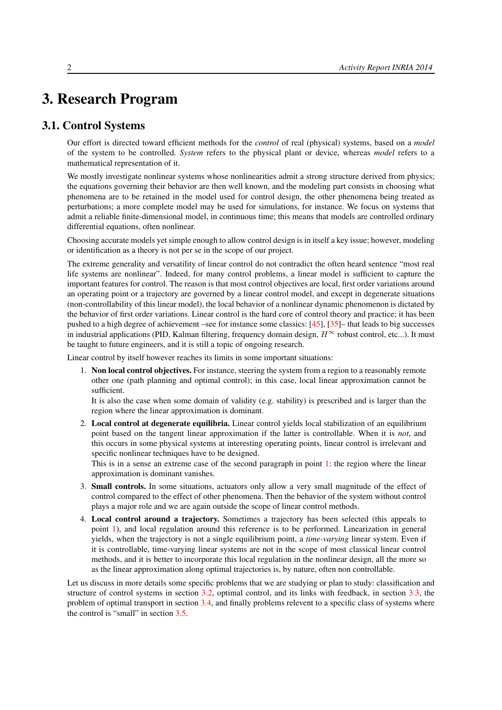# <span id="page-5-0"></span>3. Research Program

# 3.1. Control Systems

<span id="page-5-1"></span>Our effort is directed toward efficient methods for the *control* of real (physical) systems, based on a *model* of the system to be controlled. *System* refers to the physical plant or device, whereas *model* refers to a mathematical representation of it.

We mostly investigate nonlinear systems whose nonlinearities admit a strong structure derived from physics; the equations governing their behavior are then well known, and the modeling part consists in choosing what phenomena are to be retained in the model used for control design, the other phenomena being treated as perturbations; a more complete model may be used for simulations, for instance. We focus on systems that admit a reliable finite-dimensional model, in continuous time; this means that models are controlled ordinary differential equations, often nonlinear.

Choosing accurate models yet simple enough to allow control design is in itself a key issue; however, modeling or identification as a theory is not per se in the scope of our project.

The extreme generality and versatility of linear control do not contradict the often heard sentence "most real life systems are nonlinear". Indeed, for many control problems, a linear model is sufficient to capture the important features for control. The reason is that most control objectives are local, first order variations around an operating point or a trajectory are governed by a linear control model, and except in degenerate situations (non-controllability of this linear model), the local behavior of a nonlinear dynamic phenomenon is dictated by the behavior of first order variations. Linear control is the hard core of control theory and practice; it has been pushed to a high degree of achievement –see for instance some classics: [\[45\]](#page-18-0), [\[35\]](#page-18-1)– that leads to big successes in industrial applications (PID, Kalman filtering, frequency domain design,  $H^{\infty}$  robust control, etc...). It must be taught to future engineers, and it is still a topic of ongoing research.

<span id="page-5-2"></span>Linear control by itself however reaches its limits in some important situations:

1. Non local control objectives. For instance, steering the system from a region to a reasonably remote other one (path planning and optimal control); in this case, local linear approximation cannot be sufficient.

It is also the case when some domain of validity (e.g. stability) is prescribed and is larger than the region where the linear approximation is dominant.

2. Local control at degenerate equilibria. Linear control yields local stabilization of an equilibrium point based on the tangent linear approximation if the latter is controllable. When it is *not*, and this occurs in some physical systems at interesting operating points, linear control is irrelevant and specific nonlinear techniques have to be designed.

This is in a sense an extreme case of the second paragraph in point [1:](#page-5-2) the region where the linear approximation is dominant vanishes.

- <span id="page-5-3"></span>3. Small controls. In some situations, actuators only allow a very small magnitude of the effect of control compared to the effect of other phenomena. Then the behavior of the system without control plays a major role and we are again outside the scope of linear control methods.
- 4. Local control around a trajectory. Sometimes a trajectory has been selected (this appeals to point [1\)](#page-5-2), and local regulation around this reference is to be performed. Linearization in general yields, when the trajectory is not a single equilibrium point, a *time-varying* linear system. Even if it is controllable, time-varying linear systems are not in the scope of most classical linear control methods, and it is better to incorporate this local regulation in the nonlinear design, all the more so as the linear approximation along optimal trajectories is, by nature, often non controllable.

Let us discuss in more details some specific problems that we are studying or plan to study: classification and structure of control systems in section [3.2,](#page-6-0) optimal control, and its links with feedback, in section [3.3,](#page-6-1) the problem of optimal transport in section [3.4,](#page-7-1) and finally problems relevent to a specific class of systems where the control is "small" in section [3.5.](#page-7-2)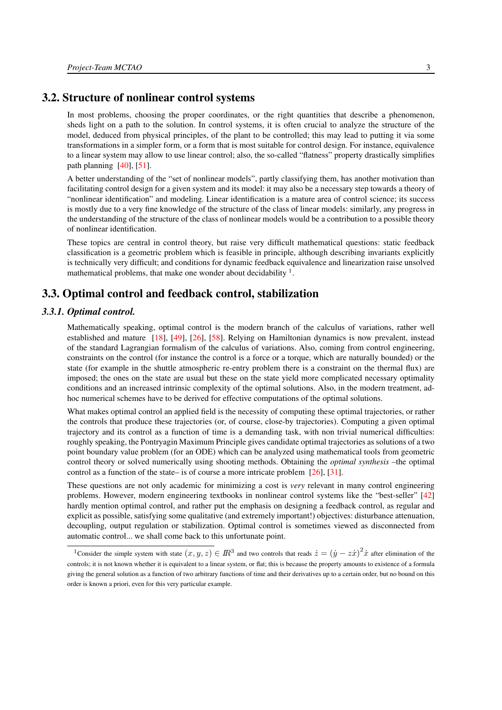## 3.2. Structure of nonlinear control systems

<span id="page-6-0"></span>In most problems, choosing the proper coordinates, or the right quantities that describe a phenomenon, sheds light on a path to the solution. In control systems, it is often crucial to analyze the structure of the model, deduced from physical principles, of the plant to be controlled; this may lead to putting it via some transformations in a simpler form, or a form that is most suitable for control design. For instance, equivalence to a linear system may allow to use linear control; also, the so-called "flatness" property drastically simplifies path planning  $[40]$ ,  $[51]$ .

A better understanding of the "set of nonlinear models", partly classifying them, has another motivation than facilitating control design for a given system and its model: it may also be a necessary step towards a theory of "nonlinear identification" and modeling. Linear identification is a mature area of control science; its success is mostly due to a very fine knowledge of the structure of the class of linear models: similarly, any progress in the understanding of the structure of the class of nonlinear models would be a contribution to a possible theory of nonlinear identification.

These topics are central in control theory, but raise very difficult mathematical questions: static feedback classification is a geometric problem which is feasible in principle, although describing invariants explicitly is technically very difficult; and conditions for dynamic feedback equivalence and linearization raise unsolved mathematical problems, that make one wonder about decidability <sup>1</sup>.

# <span id="page-6-1"></span>3.3. Optimal control and feedback control, stabilization

#### *3.3.1. Optimal control.*

<span id="page-6-2"></span>Mathematically speaking, optimal control is the modern branch of the calculus of variations, rather well established and mature [\[18\]](#page-16-0), [\[49\]](#page-19-1), [\[26\]](#page-17-0), [\[58\]](#page-19-2). Relying on Hamiltonian dynamics is now prevalent, instead of the standard Lagrangian formalism of the calculus of variations. Also, coming from control engineering, constraints on the control (for instance the control is a force or a torque, which are naturally bounded) or the state (for example in the shuttle atmospheric re-entry problem there is a constraint on the thermal flux) are imposed; the ones on the state are usual but these on the state yield more complicated necessary optimality conditions and an increased intrinsic complexity of the optimal solutions. Also, in the modern treatment, adhoc numerical schemes have to be derived for effective computations of the optimal solutions.

What makes optimal control an applied field is the necessity of computing these optimal trajectories, or rather the controls that produce these trajectories (or, of course, close-by trajectories). Computing a given optimal trajectory and its control as a function of time is a demanding task, with non trivial numerical difficulties: roughly speaking, the Pontryagin Maximum Principle gives candidate optimal trajectories as solutions of a two point boundary value problem (for an ODE) which can be analyzed using mathematical tools from geometric control theory or solved numerically using shooting methods. Obtaining the *optimal synthesis* –the optimal control as a function of the state– is of course a more intricate problem [\[26\]](#page-17-0), [\[31\]](#page-17-1).

These questions are not only academic for minimizing a cost is *very* relevant in many control engineering problems. However, modern engineering textbooks in nonlinear control systems like the "best-seller" [\[42\]](#page-18-3) hardly mention optimal control, and rather put the emphasis on designing a feedback control, as regular and explicit as possible, satisfying some qualitative (and extremely important!) objectives: disturbance attenuation, decoupling, output regulation or stabilization. Optimal control is sometimes viewed as disconnected from automatic control... we shall come back to this unfortunate point.

<sup>&</sup>lt;sup>1</sup>Consider the simple system with state  $(x, y, z) \in \mathbb{R}^3$  and two controls that reads  $\dot{z} = (\dot{y} - z\dot{x})^2 \dot{x}$  after elimination of the controls; it is not known whether it is equivalent to a linear system, or flat; this is because the property amounts to existence of a formula giving the general solution as a function of two arbitrary functions of time and their derivatives up to a certain order, but no bound on this order is known a priori, even for this very particular example.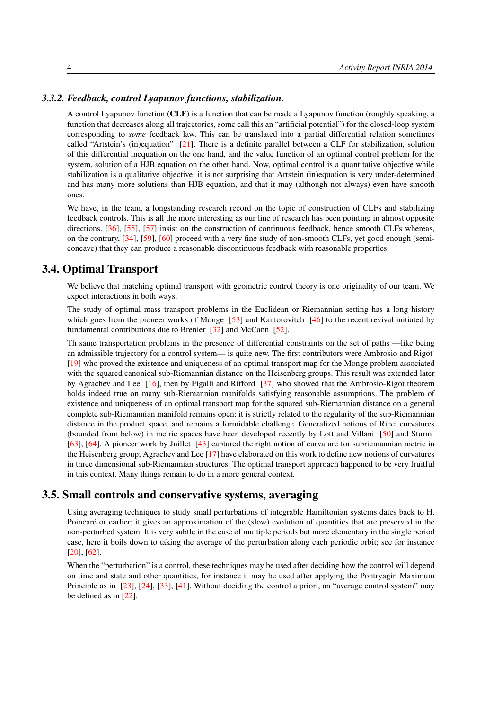#### *3.3.2. Feedback, control Lyapunov functions, stabilization.*

<span id="page-7-0"></span>A control Lyapunov function (CLF) is a function that can be made a Lyapunov function (roughly speaking, a function that decreases along all trajectories, some call this an "artificial potential") for the closed-loop system corresponding to *some* feedback law. This can be translated into a partial differential relation sometimes called "Artstein's (in)equation" [\[21\]](#page-17-2). There is a definite parallel between a CLF for stabilization, solution of this differential inequation on the one hand, and the value function of an optimal control problem for the system, solution of a HJB equation on the other hand. Now, optimal control is a quantitative objective while stabilization is a qualitative objective; it is not surprising that Artstein (in)equation is very under-determined and has many more solutions than HJB equation, and that it may (although not always) even have smooth ones.

We have, in the team, a longstanding research record on the topic of construction of CLFs and stabilizing feedback controls. This is all the more interesting as our line of research has been pointing in almost opposite directions. [\[36\]](#page-18-4), [\[55\]](#page-19-3), [\[57\]](#page-19-4) insist on the construction of continuous feedback, hence smooth CLFs whereas, on the contrary, [\[34\]](#page-18-5), [\[59\]](#page-19-5), [\[60\]](#page-19-6) proceed with a very fine study of non-smooth CLFs, yet good enough (semiconcave) that they can produce a reasonable discontinuous feedback with reasonable properties.

### 3.4. Optimal Transport

<span id="page-7-1"></span>We believe that matching optimal transport with geometric control theory is one originality of our team. We expect interactions in both ways.

The study of optimal mass transport problems in the Euclidean or Riemannian setting has a long history which goes from the pioneer works of Monge [\[53\]](#page-19-7) and Kantorovitch [\[46\]](#page-18-6) to the recent revival initiated by fundamental contributions due to Brenier [\[32\]](#page-17-3) and McCann [\[52\]](#page-19-8).

Th same transportation problems in the presence of differential constraints on the set of paths —like being an admissible trajectory for a control system— is quite new. The first contributors were Ambrosio and Rigot [\[19\]](#page-17-4) who proved the existence and uniqueness of an optimal transport map for the Monge problem associated with the squared canonical sub-Riemannian distance on the Heisenberg groups. This result was extended later by Agrachev and Lee [\[16\]](#page-16-1), then by Figalli and Rifford [\[37\]](#page-18-7) who showed that the Ambrosio-Rigot theorem holds indeed true on many sub-Riemannian manifolds satisfying reasonable assumptions. The problem of existence and uniqueness of an optimal transport map for the squared sub-Riemannian distance on a general complete sub-Riemannian manifold remains open; it is strictly related to the regularity of the sub-Riemannian distance in the product space, and remains a formidable challenge. Generalized notions of Ricci curvatures (bounded from below) in metric spaces have been developed recently by Lott and Villani [\[50\]](#page-19-9) and Sturm [\[63\]](#page-19-10), [\[64\]](#page-20-0). A pioneer work by Juillet [\[43\]](#page-18-8) captured the right notion of curvature for subriemannian metric in the Heisenberg group; Agrachev and Lee [\[17\]](#page-16-2) have elaborated on this work to define new notions of curvatures in three dimensional sub-Riemannian structures. The optimal transport approach happened to be very fruitful in this context. Many things remain to do in a more general context.

#### 3.5. Small controls and conservative systems, averaging

<span id="page-7-2"></span>Using averaging techniques to study small perturbations of integrable Hamiltonian systems dates back to H. Poincaré or earlier; it gives an approximation of the (slow) evolution of quantities that are preserved in the non-perturbed system. It is very subtle in the case of multiple periods but more elementary in the single period case, here it boils down to taking the average of the perturbation along each periodic orbit; see for instance [\[20\]](#page-17-5), [\[62\]](#page-19-11).

When the "perturbation" is a control, these techniques may be used after deciding how the control will depend on time and state and other quantities, for instance it may be used after applying the Pontryagin Maximum Principle as in [\[23\]](#page-17-6), [\[24\]](#page-17-7), [\[33\]](#page-18-9), [\[41\]](#page-18-10). Without deciding the control a priori, an "average control system" may be defined as in [\[22\]](#page-17-8).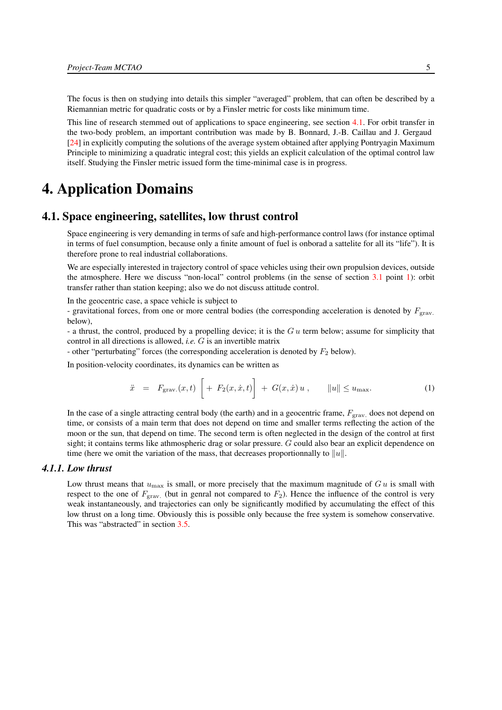The focus is then on studying into details this simpler "averaged" problem, that can often be described by a Riemannian metric for quadratic costs or by a Finsler metric for costs like minimum time.

This line of research stemmed out of applications to space engineering, see section [4.1.](#page-8-1) For orbit transfer in the two-body problem, an important contribution was made by B. Bonnard, J.-B. Caillau and J. Gergaud [\[24\]](#page-17-7) in explicitly computing the solutions of the average system obtained after applying Pontryagin Maximum Principle to minimizing a quadratic integral cost; this yields an explicit calculation of the optimal control law itself. Studying the Finsler metric issued form the time-minimal case is in progress.

# <span id="page-8-0"></span>4. Application Domains

## 4.1. Space engineering, satellites, low thrust control

<span id="page-8-1"></span>Space engineering is very demanding in terms of safe and high-performance control laws (for instance optimal in terms of fuel consumption, because only a finite amount of fuel is onborad a sattelite for all its "life"). It is therefore prone to real industrial collaborations.

We are especially interested in trajectory control of space vehicles using their own propulsion devices, outside the atmosphere. Here we discuss "non-local" control problems (in the sense of section [3.1](#page-5-1) point [1\)](#page-5-2): orbit transfer rather than station keeping; also we do not discuss attitude control.

In the geocentric case, a space vehicle is subject to

- gravitational forces, from one or more central bodies (the corresponding acceleration is denoted by  $F_{\text{grav}}$ . below),

- a thrust, the control, produced by a propelling device; it is the  $Gu$  term below; assume for simplicity that control in all directions is allowed, *i.e.* G is an invertible matrix

- other "perturbating" forces (the corresponding acceleration is denoted by  $F_2$  below).

<span id="page-8-3"></span>In position-velocity coordinates, its dynamics can be written as

$$
\ddot{x} = F_{\text{grav.}}(x, t) \left[ + F_2(x, \dot{x}, t) \right] + G(x, \dot{x}) u , \qquad ||u|| \le u_{\text{max}}.
$$
 (1)

In the case of a single attracting central body (the earth) and in a geocentric frame,  $F_{\text{grav}}$  does not depend on time, or consists of a main term that does not depend on time and smaller terms reflecting the action of the moon or the sun, that depend on time. The second term is often neglected in the design of the control at first sight; it contains terms like athmospheric drag or solar pressure. G could also bear an explicit dependence on time (here we omit the variation of the mass, that decreases proportionnally to  $||u||$ .

#### *4.1.1. Low thrust*

<span id="page-8-2"></span>Low thrust means that  $u_{\text{max}}$  is small, or more precisely that the maximum magnitude of G u is small with respect to the one of  $F_{\text{grav}}$ . (but in genral not compared to  $F_2$ ). Hence the influence of the control is very weak instantaneously, and trajectories can only be significantly modified by accumulating the effect of this low thrust on a long time. Obviously this is possible only because the free system is somehow conservative. This was "abstracted" in section [3.5.](#page-7-2)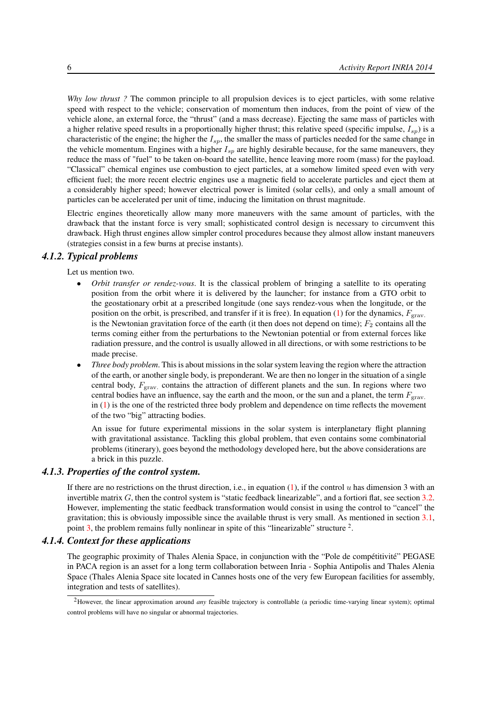*Why low thrust ?* The common principle to all propulsion devices is to eject particles, with some relative speed with respect to the vehicle; conservation of momentum then induces, from the point of view of the vehicle alone, an external force, the "thrust" (and a mass decrease). Ejecting the same mass of particles with a higher relative speed results in a proportionally higher thrust; this relative speed (specific impulse,  $I_{sp}$ ) is a characteristic of the engine; the higher the  $I_{sp}$ , the smaller the mass of particles needed for the same change in the vehicle momentum. Engines with a higher  $I_{sp}$  are highly desirable because, for the same maneuvers, they reduce the mass of "fuel" to be taken on-board the satellite, hence leaving more room (mass) for the payload. "Classical" chemical engines use combustion to eject particles, at a somehow limited speed even with very efficient fuel; the more recent electric engines use a magnetic field to accelerate particles and eject them at a considerably higher speed; however electrical power is limited (solar cells), and only a small amount of particles can be accelerated per unit of time, inducing the limitation on thrust magnitude.

Electric engines theoretically allow many more maneuvers with the same amount of particles, with the drawback that the instant force is very small; sophisticated control design is necessary to circumvent this drawback. High thrust engines allow simpler control procedures because they almost allow instant maneuvers (strategies consist in a few burns at precise instants).

### *4.1.2. Typical problems*

<span id="page-9-0"></span>Let us mention two.

- *Orbit transfer or rendez-vous*. It is the classical problem of bringing a satellite to its operating position from the orbit where it is delivered by the launcher; for instance from a GTO orbit to the geostationary orbit at a prescribed longitude (one says rendez-vous when the longitude, or the position on the orbit, is prescribed, and transfer if it is free). In equation [\(1\)](#page-8-3) for the dynamics,  $F_{grav}$ . is the Newtonian gravitation force of the earth (it then does not depend on time);  $F_2$  contains all the terms coming either from the perturbations to the Newtonian potential or from external forces like radiation pressure, and the control is usually allowed in all directions, or with some restrictions to be made precise.
- *Three body problem*. This is about missions in the solar system leaving the region where the attraction of the earth, or another single body, is preponderant. We are then no longer in the situation of a single central body,  $F_{grav}$  contains the attraction of different planets and the sun. In regions where two central bodies have an influence, say the earth and the moon, or the sun and a planet, the term  $F_{\text{grav}}$ . in [\(1\)](#page-8-3) is the one of the restricted three body problem and dependence on time reflects the movement of the two "big" attracting bodies.

An issue for future experimental missions in the solar system is interplanetary flight planning with gravitational assistance. Tackling this global problem, that even contains some combinatorial problems (itinerary), goes beyond the methodology developed here, but the above considerations are a brick in this puzzle.

#### *4.1.3. Properties of the control system.*

<span id="page-9-1"></span>If there are no restrictions on the thrust direction, i.e., in equation [\(1\)](#page-8-3), if the control u has dimension 3 with an invertible matrix G, then the control system is "static feedback linearizable", and a fortiori flat, see section [3.2.](#page-6-0) However, implementing the static feedback transformation would consist in using the control to "cancel" the gravitation; this is obviously impossible since the available thrust is very small. As mentioned in section  $3.1$ , point [3,](#page-5-3) the problem remains fully nonlinear in spite of this "linearizable" structure <sup>2</sup>.

#### *4.1.4. Context for these applications*

<span id="page-9-2"></span>The geographic proximity of Thales Alenia Space, in conjunction with the "Pole de compétitivité" PEGASE in PACA region is an asset for a long term collaboration between Inria - Sophia Antipolis and Thales Alenia Space (Thales Alenia Space site located in Cannes hosts one of the very few European facilities for assembly, integration and tests of satellites).

<sup>2</sup>However, the linear approximation around *any* feasible trajectory is controllable (a periodic time-varying linear system); optimal control problems will have no singular or abnormal trajectories.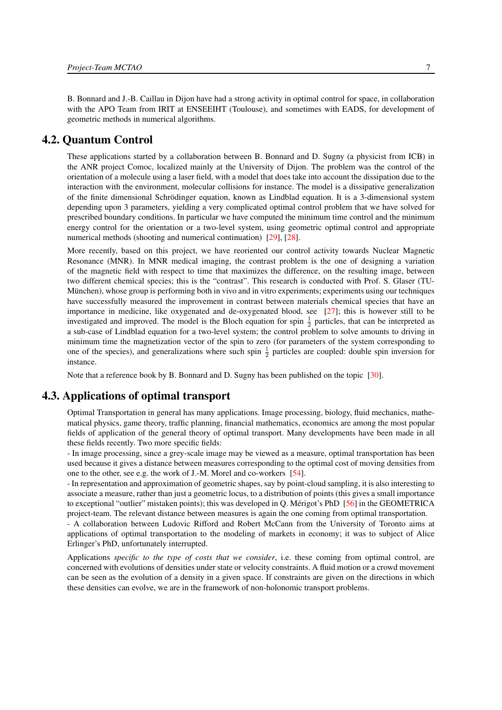B. Bonnard and J.-B. Caillau in Dijon have had a strong activity in optimal control for space, in collaboration with the APO Team from IRIT at ENSEEIHT (Toulouse), and sometimes with EADS, for development of geometric methods in numerical algorithms.

# 4.2. Quantum Control

<span id="page-10-0"></span>These applications started by a collaboration between B. Bonnard and D. Sugny (a physicist from ICB) in the ANR project Comoc, localized mainly at the University of Dijon. The problem was the control of the orientation of a molecule using a laser field, with a model that does take into account the dissipation due to the interaction with the environment, molecular collisions for instance. The model is a dissipative generalization of the finite dimensional Schrödinger equation, known as Lindblad equation. It is a 3-dimensional system depending upon 3 parameters, yielding a very complicated optimal control problem that we have solved for prescribed boundary conditions. In particular we have computed the minimum time control and the minimum energy control for the orientation or a two-level system, using geometric optimal control and appropriate numerical methods (shooting and numerical continuation) [\[29\]](#page-17-9), [\[28\]](#page-17-10).

More recently, based on this project, we have reoriented our control activity towards Nuclear Magnetic Resonance (MNR). In MNR medical imaging, the contrast problem is the one of designing a variation of the magnetic field with respect to time that maximizes the difference, on the resulting image, between two different chemical species; this is the "contrast". This research is conducted with Prof. S. Glaser (TU-München), whose group is performing both in vivo and in vitro experiments; experiments using our techniques have successfully measured the improvement in contrast between materials chemical species that have an importance in medicine, like oxygenated and de-oxygenated blood, see [\[27\]](#page-17-11); this is however still to be investigated and improved. The model is the Bloch equation for spin  $\frac{1}{2}$  particles, that can be interpreted as a sub-case of Lindblad equation for a two-level system; the control problem to solve amounts to driving in minimum time the magnetization vector of the spin to zero (for parameters of the system corresponding to one of the species), and generalizations where such spin  $\frac{1}{2}$  particles are coupled: double spin inversion for instance.

<span id="page-10-1"></span>Note that a reference book by B. Bonnard and D. Sugny has been published on the topic [\[30\]](#page-17-12).

# 4.3. Applications of optimal transport

Optimal Transportation in general has many applications. Image processing, biology, fluid mechanics, mathematical physics, game theory, traffic planning, financial mathematics, economics are among the most popular fields of application of the general theory of optimal transport. Many developments have been made in all these fields recently. Two more specific fields:

- In image processing, since a grey-scale image may be viewed as a measure, optimal transportation has been used because it gives a distance between measures corresponding to the optimal cost of moving densities from one to the other, see e.g. the work of J.-M. Morel and co-workers [\[54\]](#page-19-12).

- In representation and approximation of geometric shapes, say by point-cloud sampling, it is also interesting to associate a measure, rather than just a geometric locus, to a distribution of points (this gives a small importance to exceptional "outlier" mistaken points); this was developed in Q. Mérigot's PhD [\[56\]](#page-19-13) in the GEOMETRICA project-team. The relevant distance between measures is again the one coming from optimal transportation.

- A collaboration between Ludovic Rifford and Robert McCann from the University of Toronto aims at applications of optimal transportation to the modeling of markets in economy; it was to subject of Alice Erlinger's PhD, unfortunately interrupted.

Applications *specific to the type of costs that we consider*, i.e. these coming from optimal control, are concerned with evolutions of densities under state or velocity constraints. A fluid motion or a crowd movement can be seen as the evolution of a density in a given space. If constraints are given on the directions in which these densities can evolve, we are in the framework of non-holonomic transport problems.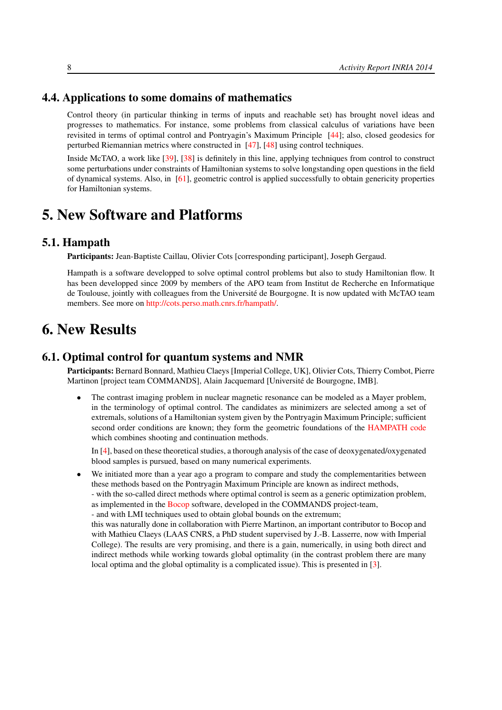# 4.4. Applications to some domains of mathematics

<span id="page-11-0"></span>Control theory (in particular thinking in terms of inputs and reachable set) has brought novel ideas and progresses to mathematics. For instance, some problems from classical calculus of variations have been revisited in terms of optimal control and Pontryagin's Maximum Principle [\[44\]](#page-18-11); also, closed geodesics for perturbed Riemannian metrics where constructed in [\[47\]](#page-18-12), [\[48\]](#page-18-13) using control techniques.

Inside McTAO, a work like [\[39\]](#page-18-14), [\[38\]](#page-18-15) is definitely in this line, applying techniques from control to construct some perturbations under constraints of Hamiltonian systems to solve longstanding open questions in the field of dynamical systems. Also, in [\[61\]](#page-19-14), geometric control is applied successfully to obtain genericity properties for Hamiltonian systems.

# <span id="page-11-1"></span>5. New Software and Platforms

### 5.1. Hampath

Participants: Jean-Baptiste Caillau, Olivier Cots [corresponding participant], Joseph Gergaud.

Hampath is a software developped to solve optimal control problems but also to study Hamiltonian flow. It has been developped since 2009 by members of the APO team from Institut de Recherche en Informatique de Toulouse, jointly with colleagues from the Université de Bourgogne. It is now updated with McTAO team members. See more on [http://cots.perso.math.cnrs.fr/hampath/.](http://cots.perso.math.cnrs.fr/hampath/)

# <span id="page-11-2"></span>6. New Results

# 6.1. Optimal control for quantum systems and NMR

<span id="page-11-3"></span>Participants: Bernard Bonnard, Mathieu Claeys [Imperial College, UK], Olivier Cots, Thierry Combot, Pierre Martinon [project team COMMANDS], Alain Jacquemard [Université de Bourgogne, IMB].

• The contrast imaging problem in nuclear magnetic resonance can be modeled as a Mayer problem, in the terminology of optimal control. The candidates as minimizers are selected among a set of extremals, solutions of a Hamiltonian system given by the Pontryagin Maximum Principle; sufficient second order conditions are known; they form the geometric foundations of the [HAMPATH code](http://cots.perso.enseeiht.fr/hampath/) which combines shooting and continuation methods.

In [\[4\]](#page-15-2), based on these theoretical studies, a thorough analysis of the case of deoxygenated/oxygenated blood samples is pursued, based on many numerical experiments.

• We initiated more than a year ago a program to compare and study the complementarities between these methods based on the Pontryagin Maximum Principle are known as indirect methods,

- with the so-called direct methods where optimal control is seem as a generic optimization problem, as implemented in the [Bocop](http://commands.saclay.inria.fr/bocop) software, developed in the COMMANDS project-team,

- and with LMI techniques used to obtain global bounds on the extremum;

this was naturally done in collaboration with Pierre Martinon, an important contributor to Bocop and with Mathieu Claeys (LAAS CNRS, a PhD student supervised by J.-B. Lasserre, now with Imperial College). The results are very promising, and there is a gain, numerically, in using both direct and indirect methods while working towards global optimality (in the contrast problem there are many local optima and the global optimality is a complicated issue). This is presented in [\[3\]](#page-15-3).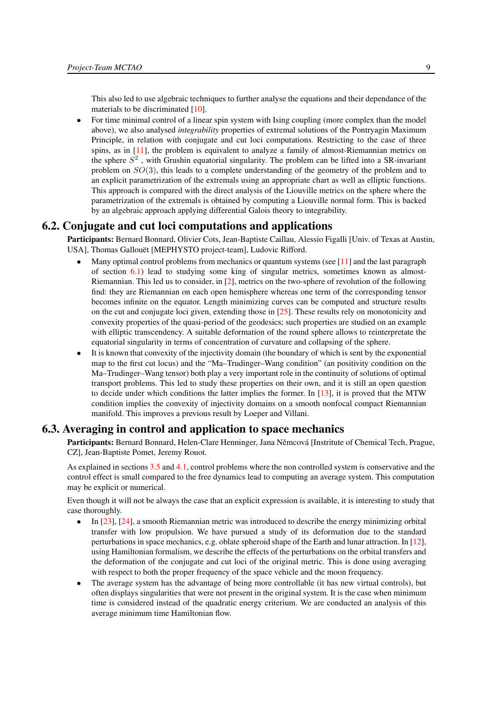This also led to use algebraic techniques to further analyse the equations and their dependance of the materials to be discriminated [\[10\]](#page-16-3).

• For time minimal control of a linear spin system with Ising coupling (more complex than the model above), we also analysed *integrability* properties of extremal solutions of the Pontryagin Maximum Principle, in relation with conjugate and cut loci computations. Restricting to the case of three spins, as in [\[11\]](#page-16-4), the problem is equivalent to analyze a family of almost-Riemannian metrics on the sphere  $S<sup>2</sup>$ , with Grushin equatorial singularity. The problem can be lifted into a SR-invariant problem on  $SO(3)$ , this leads to a complete understanding of the geometry of the problem and to an explicit parametrization of the extremals using an appropriate chart as well as elliptic functions. This approach is compared with the direct analysis of the Liouville metrics on the sphere where the parametrization of the extremals is obtained by computing a Liouville normal form. This is backed by an algebraic approach applying differential Galois theory to integrability.

## 6.2. Conjugate and cut loci computations and applications

<span id="page-12-0"></span>Participants: Bernard Bonnard, Olivier Cots, Jean-Baptiste Caillau, Alessio Figalli [Univ. of Texas at Austin, USA], Thomas Gallouët [MEPHYSTO project-team], Ludovic Rifford.

- Many optimal control problems from mechanics or quantum systems (see  $[11]$  and the last paragraph of section  $6.1$ ) lead to studying some king of singular metrics, sometimes known as almost-Riemannian. This led us to consider, in [\[2\]](#page-15-4), metrics on the two-sphere of revolution of the following find: they are Riemannian on each open hemisphere whereas one term of the corresponding tensor becomes infinite on the equator. Length minimizing curves can be computed and structure results on the cut and conjugate loci given, extending those in  $[25]$ . These results rely on monotonicity and convexity properties of the quasi-period of the geodesics; such properties are studied on an example with elliptic transcendency. A suitable deformation of the round sphere allows to reinterpretate the equatorial singularity in terms of concentration of curvature and collapsing of the sphere.
- It is known that convexity of the injectivity domain (the boundary of which is sent by the exponential map to the first cut locus) and the "Ma–Trudinger–Wang condition" (an positivity condition on the Ma–Trudinger–Wang tensor) both play a very important role in the continuity of solutions of optimal transport problems. This led to study these properties on their own, and it is still an open question to decide under which conditions the latter implies the former. In [\[13\]](#page-16-5), it is proved that the MTW condition implies the convexity of injectivity domains on a smooth nonfocal compact Riemannian manifold. This improves a previous result by Loeper and Villani.

## 6.3. Averaging in control and application to space mechanics

<span id="page-12-1"></span>Participants: Bernard Bonnard, Helen-Clare Henninger, Jana Němcová [Instritute of Chemical Tech, Prague, CZ], Jean-Baptiste Pomet, Jeremy Rouot.

As explained in sections [3.5](#page-7-2) and [4.1,](#page-8-1) control problems where the non controlled system is conservative and the control effect is small compared to the free dynamics lead to computing an average system. This computation may be explicit or numerical.

Even though it will not be always the case that an explicit expression is available, it is interesting to study that case thoroughly.

- In [\[23\]](#page-17-6), [\[24\]](#page-17-7), a smooth Riemannian metric was introduced to describe the energy minimizing orbital transfer with low propulsion. We have pursued a study of its deformation due to the standard perturbations in space mechanics, e.g. oblate spheroid shape of the Earth and lunar attraction. In [\[12\]](#page-16-6), using Hamiltonian formalism, we describe the effects of the perturbations on the orbital transfers and the deformation of the conjugate and cut loci of the original metric. This is done using averaging with respect to both the proper frequency of the space vehicle and the moon frequency.
- The average system has the advantage of being more controllable (it has new virtual controls), but often displays singularities that were not present in the original system. It is the case when minimum time is considered instead of the quadratic energy criterium. We are conducted an analysis of this average minimum time Hamiltonian flow.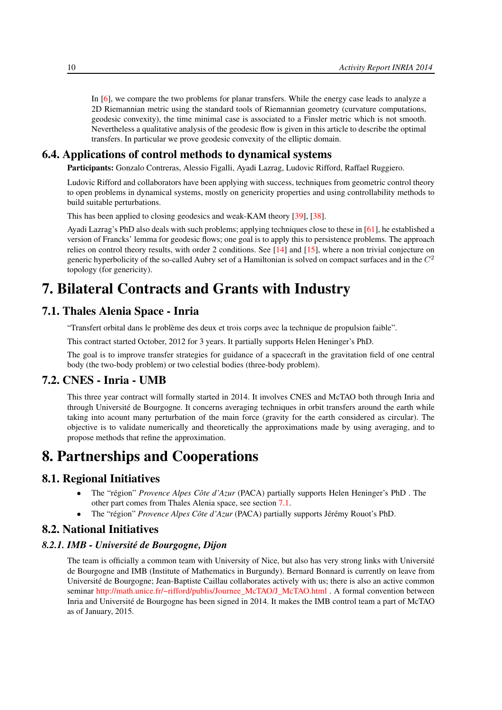In [\[6\]](#page-15-5), we compare the two problems for planar transfers. While the energy case leads to analyze a 2D Riemannian metric using the standard tools of Riemannian geometry (curvature computations, geodesic convexity), the time minimal case is associated to a Finsler metric which is not smooth. Nevertheless a qualitative analysis of the geodesic flow is given in this article to describe the optimal transfers. In particular we prove geodesic convexity of the elliptic domain.

## 6.4. Applications of control methods to dynamical systems

<span id="page-13-0"></span>Participants: Gonzalo Contreras, Alessio Figalli, Ayadi Lazrag, Ludovic Rifford, Raffael Ruggiero.

Ludovic Rifford and collaborators have been applying with success, techniques from geometric control theory to open problems in dynamical systems, mostly on genericity properties and using controllability methods to build suitable perturbations.

This has been applied to closing geodesics and weak-KAM theory [\[39\]](#page-18-14), [\[38\]](#page-18-15).

Ayadi Lazrag's PhD also deals with such problems; applying techniques close to these in [\[61\]](#page-19-14), he established a version of Francks' lemma for geodesic flows; one goal is to apply this to persistence problems. The approach relies on control theory results, with order 2 conditions. See [\[14\]](#page-16-7) and [\[15\]](#page-16-8), where a non trivial conjecture on generic hyperbolicity of the so-called Aubry set of a Hamiltonian is solved on compact surfaces and in the  $C^2$ topology (for genericity).

# <span id="page-13-1"></span>7. Bilateral Contracts and Grants with Industry

## 7.1. Thales Alenia Space - Inria

<span id="page-13-2"></span>"Transfert orbital dans le problème des deux et trois corps avec la technique de propulsion faible".

This contract started October, 2012 for 3 years. It partially supports Helen Heninger's PhD.

<span id="page-13-3"></span>The goal is to improve transfer strategies for guidance of a spacecraft in the gravitation field of one central body (the two-body problem) or two celestial bodies (three-body problem).

## 7.2. CNES - Inria - UMB

This three year contract will formally started in 2014. It involves CNES and McTAO both through Inria and through Université de Bourgogne. It concerns averaging techniques in orbit transfers around the earth while taking into acount many perturbation of the main force (gravity for the earth considered as circular). The objective is to validate numerically and theoretically the approximations made by using averaging, and to propose methods that refine the approximation.

# <span id="page-13-4"></span>8. Partnerships and Cooperations

## 8.1. Regional Initiatives

- <span id="page-13-5"></span>• The "région" *Provence Alpes Côte d'Azur* (PACA) partially supports Helen Heninger's PhD . The other part comes from Thales Alenia space, see section [7.1.](#page-13-2)
- <span id="page-13-6"></span>• The "région" *Provence Alpes Côte d'Azur* (PACA) partially supports Jérémy Rouot's PhD.

## 8.2. National Initiatives

#### *8.2.1. IMB - Université de Bourgogne, Dijon*

<span id="page-13-7"></span>The team is officially a common team with University of Nice, but also has very strong links with Université de Bourgogne and IMB (Institute of Mathematics in Burgundy). Bernard Bonnard is currently on leave from Université de Bourgogne; Jean-Baptiste Caillau collaborates actively with us; there is also an active common seminar [http://math.unice.fr/~rifford/publis/Journee\\_McTAO/J\\_McTAO.html](http://math.unice.fr/~rifford/publis/Journee_McTAO/J_McTAO.html) . A formal convention between Inria and Université de Bourgogne has been signed in 2014. It makes the IMB control team a part of McTAO as of January, 2015.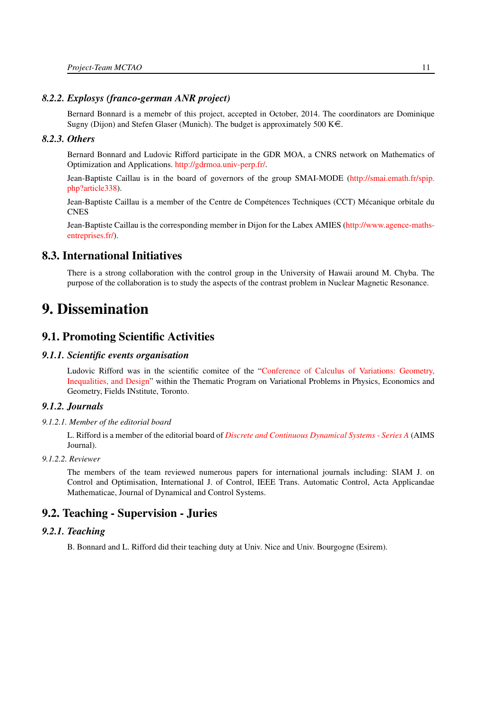#### *8.2.2. Explosys (franco-german ANR project)*

<span id="page-14-0"></span>Bernard Bonnard is a memebr of this project, accepted in October, 2014. The coordinators are Dominique Sugny (Dijon) and Stefen Glaser (Munich). The budget is approximately 500 K $\in$ .

#### *8.2.3. Others*

<span id="page-14-1"></span>Bernard Bonnard and Ludovic Rifford participate in the GDR MOA, a CNRS network on Mathematics of Optimization and Applications. [http://gdrmoa.univ-perp.fr/.](http://gdrmoa.univ-perp.fr/)

Jean-Baptiste Caillau is in the board of governors of the group SMAI-MODE [\(http://smai.emath.fr/spip.](http://smai.emath.fr/spip.php?article338) [php?article338\)](http://smai.emath.fr/spip.php?article338).

Jean-Baptiste Caillau is a member of the Centre de Compétences Techniques (CCT) Mécanique orbitale du **CNES** 

Jean-Baptiste Caillau is the corresponding member in Dijon for the Labex AMIES [\(http://www.agence-maths](http://www.agence-maths-entreprises.fr/)[entreprises.fr/\)](http://www.agence-maths-entreprises.fr/).

# 8.3. International Initiatives

<span id="page-14-2"></span>There is a strong collaboration with the control group in the University of Hawaii around M. Chyba. The purpose of the collaboration is to study the aspects of the contrast problem in Nuclear Magnetic Resonance.

# <span id="page-14-3"></span>9. Dissemination

# <span id="page-14-4"></span>9.1. Promoting Scientific Activities

#### *9.1.1. Scientific events organisation*

<span id="page-14-5"></span>Ludovic Rifford was in the scientific comitee of the ["Conference of Calculus of Variations: Geometry,](http://www.fields.utoronto.ca/programs/scientific/14-15/variationalprob/design/index.html) [Inequalities, and Design"](http://www.fields.utoronto.ca/programs/scientific/14-15/variationalprob/design/index.html) within the Thematic Program on Variational Problems in Physics, Economics and Geometry, Fields INstitute, Toronto.

### <span id="page-14-6"></span>*9.1.2. Journals*

#### *9.1.2.1. Member of the editorial board*

<span id="page-14-7"></span>L. Rifford is a member of the editorial board of *[Discrete and Continuous Dynamical Systems - Series A](http://www.aimsciences.org/journals/)* (AIMS Journal).

#### *9.1.2.2. Reviewer*

<span id="page-14-8"></span>The members of the team reviewed numerous papers for international journals including: SIAM J. on Control and Optimisation, International J. of Control, IEEE Trans. Automatic Control, Acta Applicandae Mathematicae, Journal of Dynamical and Control Systems.

# <span id="page-14-9"></span>9.2. Teaching - Supervision - Juries

### *9.2.1. Teaching*

<span id="page-14-10"></span>B. Bonnard and L. Rifford did their teaching duty at Univ. Nice and Univ. Bourgogne (Esirem).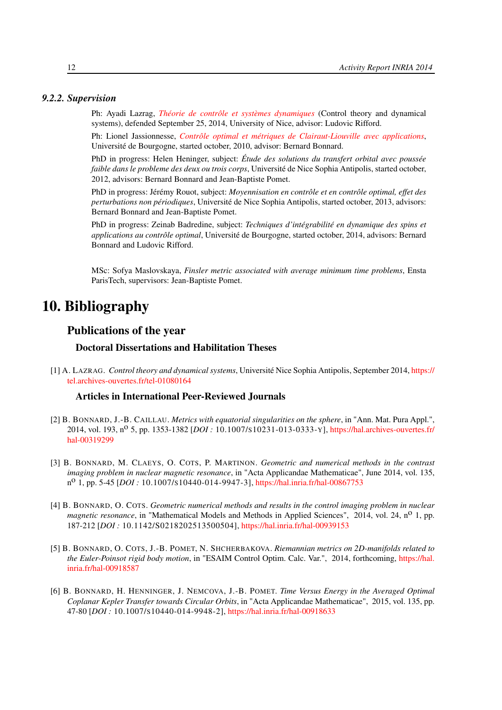#### <span id="page-15-0"></span>*9.2.2. Supervision*

Ph: Ayadi Lazrag, *[Théorie de contrôle et systèmes dynamiques](http://hal.inria.fr/tel-01080164)* (Control theory and dynamical systems), defended September 25, 2014, University of Nice, advisor: Ludovic Rifford.

Ph: Lionel Jassionnesse, *[Contrôle optimal et métriques de Clairaut-Liouville avec applications](http://hal.inria.fr/tel-01131399)*, Université de Bourgogne, started october, 2010, advisor: Bernard Bonnard.

PhD in progress: Helen Heninger, subject: *Étude des solutions du transfert orbital avec poussée faible dans le probleme des deux ou trois corps*, Université de Nice Sophia Antipolis, started october, 2012, advisors: Bernard Bonnard and Jean-Baptiste Pomet.

PhD in progress: Jérémy Rouot, subject: *Moyennisation en contrôle et en contrôle optimal, effet des perturbations non périodiques*, Université de Nice Sophia Antipolis, started october, 2013, advisors: Bernard Bonnard and Jean-Baptiste Pomet.

PhD in progress: Zeinab Badredine, subject: *Techniques d'intégrabilité en dynamique des spins et applications au contrôle optimal*, Université de Bourgogne, started october, 2014, advisors: Bernard Bonnard and Ludovic Rifford.

MSc: Sofya Maslovskaya, *Finsler metric associated with average minimum time problems*, Ensta ParisTech, supervisors: Jean-Baptiste Pomet.

# <span id="page-15-1"></span>10. Bibliography

# Publications of the year

#### Doctoral Dissertations and Habilitation Theses

[1] A. LAZRAG. *Control theory and dynamical systems*, Université Nice Sophia Antipolis, September 2014, [https://](https://tel.archives-ouvertes.fr/tel-01080164) [tel.archives-ouvertes.fr/tel-01080164](https://tel.archives-ouvertes.fr/tel-01080164)

#### Articles in International Peer-Reviewed Journals

- <span id="page-15-4"></span>[2] B. BONNARD, J.-B. CAILLAU. *Metrics with equatorial singularities on the sphere*, in "Ann. Mat. Pura Appl.", 2014, vol. 193, n<sup>o</sup> 5, pp. 1353-1382 [*DOI*: 10.1007/s10231-013-0333-Y], [https://hal.archives-ouvertes.fr/](https://hal.archives-ouvertes.fr/hal-00319299) [hal-00319299](https://hal.archives-ouvertes.fr/hal-00319299)
- <span id="page-15-3"></span>[3] B. BONNARD, M. CLAEYS, O. COTS, P. MARTINON. *Geometric and numerical methods in the contrast imaging problem in nuclear magnetic resonance*, in "Acta Applicandae Mathematicae", June 2014, vol. 135, n<sup>o</sup> 1, pp. 5-45 [*DOI*: 10.1007/s10440-014-9947-3], <https://hal.inria.fr/hal-00867753>
- <span id="page-15-2"></span>[4] B. BONNARD, O. COTS. *Geometric numerical methods and results in the control imaging problem in nuclear magnetic resonance*, in "Mathematical Models and Methods in Applied Sciences", 2014, vol. 24, n<sup>o</sup> 1, pp. 187-212 [*DOI :* 10.1142/S0218202513500504], <https://hal.inria.fr/hal-00939153>
- [5] B. BONNARD, O. COTS, J.-B. POMET, N. SHCHERBAKOVA. *Riemannian metrics on 2D-manifolds related to the Euler-Poinsot rigid body motion*, in "ESAIM Control Optim. Calc. Var.", 2014, forthcoming, [https://hal.](https://hal.inria.fr/hal-00918587) [inria.fr/hal-00918587](https://hal.inria.fr/hal-00918587)
- <span id="page-15-5"></span>[6] B. BONNARD, H. HENNINGER, J. NEMCOVA, J.-B. POMET. *Time Versus Energy in the Averaged Optimal Coplanar Kepler Transfer towards Circular Orbits*, in "Acta Applicandae Mathematicae", 2015, vol. 135, pp. 47-80 [*DOI :* 10.1007/S10440-014-9948-2], <https://hal.inria.fr/hal-00918633>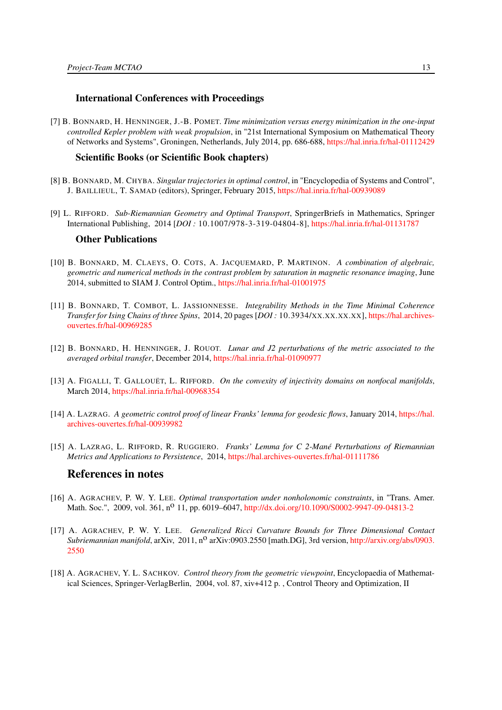#### International Conferences with Proceedings

[7] B. BONNARD, H. HENNINGER, J.-B. POMET. *Time minimization versus energy minimization in the one-input controlled Kepler problem with weak propulsion*, in "21st International Symposium on Mathematical Theory of Networks and Systems", Groningen, Netherlands, July 2014, pp. 686-688, <https://hal.inria.fr/hal-01112429>

#### Scientific Books (or Scientific Book chapters)

- [8] B. BONNARD, M. CHYBA. *Singular trajectories in optimal control*, in "Encyclopedia of Systems and Control", J. BAILLIEUL, T. SAMAD (editors), Springer, February 2015, <https://hal.inria.fr/hal-00939089>
- [9] L. RIFFORD. *Sub-Riemannian Geometry and Optimal Transport*, SpringerBriefs in Mathematics, Springer International Publishing, 2014 [*DOI :* 10.1007/978-3-319-04804-8], <https://hal.inria.fr/hal-01131787>

#### Other Publications

- <span id="page-16-3"></span>[10] B. BONNARD, M. CLAEYS, O. COTS, A. JACQUEMARD, P. MARTINON. *A combination of algebraic, geometric and numerical methods in the contrast problem by saturation in magnetic resonance imaging*, June 2014, submitted to SIAM J. Control Optim., <https://hal.inria.fr/hal-01001975>
- <span id="page-16-4"></span>[11] B. BONNARD, T. COMBOT, L. JASSIONNESSE. *Integrability Methods in the Time Minimal Coherence Transfer for Ising Chains of three Spins*, 2014, 20 pages [*DOI :* 10.3934/XX.XX.XX.XX], [https://hal.archives](https://hal.archives-ouvertes.fr/hal-00969285)[ouvertes.fr/hal-00969285](https://hal.archives-ouvertes.fr/hal-00969285)
- <span id="page-16-6"></span>[12] B. BONNARD, H. HENNINGER, J. ROUOT. *Lunar and J2 perturbations of the metric associated to the averaged orbital transfer*, December 2014, <https://hal.inria.fr/hal-01090977>
- <span id="page-16-5"></span>[13] A. FIGALLI, T. GALLOUËT, L. RIFFORD. *On the convexity of injectivity domains on nonfocal manifolds*, March 2014, <https://hal.inria.fr/hal-00968354>
- <span id="page-16-7"></span>[14] A. LAZRAG. *A geometric control proof of linear Franks' lemma for geodesic flows*, January 2014, [https://hal.](https://hal.archives-ouvertes.fr/hal-00939982) [archives-ouvertes.fr/hal-00939982](https://hal.archives-ouvertes.fr/hal-00939982)
- <span id="page-16-8"></span>[15] A. LAZRAG, L. RIFFORD, R. RUGGIERO. *Franks' Lemma for C 2-Mané Perturbations of Riemannian Metrics and Applications to Persistence*, 2014, <https://hal.archives-ouvertes.fr/hal-01111786>

## References in notes

- <span id="page-16-1"></span>[16] A. AGRACHEV, P. W. Y. LEE. *Optimal transportation under nonholonomic constraints*, in "Trans. Amer. Math. Soc.", 2009, vol. 361, n<sup>o</sup> 11, pp. 6019–6047, <http://dx.doi.org/10.1090/S0002-9947-09-04813-2>
- <span id="page-16-2"></span>[17] A. AGRACHEV, P. W. Y. LEE. *Generalized Ricci Curvature Bounds for Three Dimensional Contact Subriemannian manifold*, arXiv, 2011, n<sup>o</sup> arXiv:0903.2550 [math.DG], 3rd version, [http://arxiv.org/abs/0903.](http://arxiv.org/abs/0903.2550) [2550](http://arxiv.org/abs/0903.2550)
- <span id="page-16-0"></span>[18] A. AGRACHEV, Y. L. SACHKOV. *Control theory from the geometric viewpoint*, Encyclopaedia of Mathematical Sciences, Springer-VerlagBerlin, 2004, vol. 87, xiv+412 p. , Control Theory and Optimization, II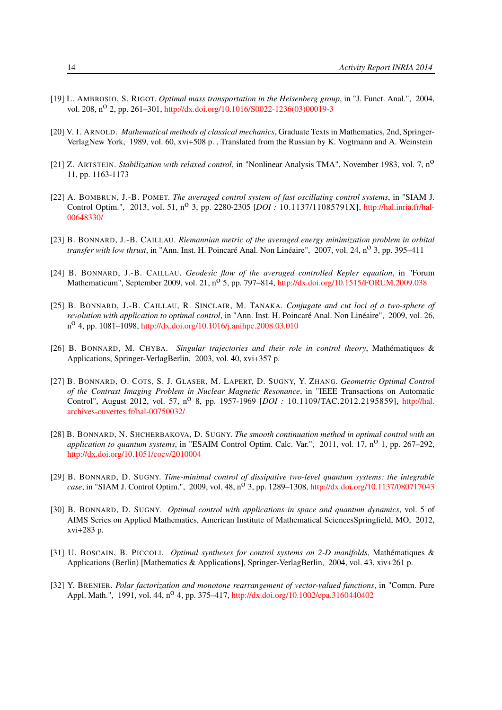- <span id="page-17-4"></span>[19] L. AMBROSIO, S. RIGOT. *Optimal mass transportation in the Heisenberg group*, in "J. Funct. Anal.", 2004, vol. 208, n<sup>o</sup> 2, pp. 261–301, [http://dx.doi.org/10.1016/S0022-1236\(03\)00019-3](http://dx.doi.org/10.1016/S0022-1236(03)00019-3)
- <span id="page-17-5"></span>[20] V. I. ARNOLD. *Mathematical methods of classical mechanics*, Graduate Texts in Mathematics, 2nd, Springer-VerlagNew York, 1989, vol. 60, xvi+508 p. , Translated from the Russian by K. Vogtmann and A. Weinstein
- <span id="page-17-2"></span>[21] Z. ARTSTEIN. *Stabilization with relaxed control*, in "Nonlinear Analysis TMA", November 1983, vol. 7, no 11, pp. 1163-1173
- <span id="page-17-8"></span>[22] A. BOMBRUN, J.-B. POMET. *The averaged control system of fast oscillating control systems*, in "SIAM J. Control Optim.", 2013, vol. 51, n<sup>o</sup> 3, pp. 2280-2305 [*DOI*: 10.1137/11085791X], [http://hal.inria.fr/hal-](http://hal.inria.fr/hal-00648330/)[00648330/](http://hal.inria.fr/hal-00648330/)
- <span id="page-17-6"></span>[23] B. BONNARD, J.-B. CAILLAU. *Riemannian metric of the averaged energy minimization problem in orbital transfer with low thrust*, in "Ann. Inst. H. Poincaré Anal. Non Linéaire", 2007, vol. 24, n<sup>o</sup> 3, pp. 395–411
- <span id="page-17-7"></span>[24] B. BONNARD, J.-B. CAILLAU. *Geodesic flow of the averaged controlled Kepler equation*, in "Forum Mathematicum", September 2009, vol. 21, n<sup>o</sup> 5, pp. 797–814, <http://dx.doi.org/10.1515/FORUM.2009.038>
- <span id="page-17-13"></span>[25] B. BONNARD, J.-B. CAILLAU, R. SINCLAIR, M. TANAKA. *Conjugate and cut loci of a two-sphere of revolution with application to optimal control*, in "Ann. Inst. H. Poincaré Anal. Non Linéaire", 2009, vol. 26, n o 4, pp. 1081–1098, <http://dx.doi.org/10.1016/j.anihpc.2008.03.010>
- <span id="page-17-0"></span>[26] B. BONNARD, M. CHYBA. *Singular trajectories and their role in control theory*, Mathématiques & Applications, Springer-VerlagBerlin, 2003, vol. 40, xvi+357 p.
- <span id="page-17-11"></span>[27] B. BONNARD, O. COTS, S. J. GLASER, M. LAPERT, D. SUGNY, Y. ZHANG. *Geometric Optimal Control of the Contrast Imaging Problem in Nuclear Magnetic Resonance*, in "IEEE Transactions on Automatic Control", August 2012, vol. 57, n<sup>o</sup> 8, pp. 1957-1969 [*DOI* : 10.1109/TAC.2012.2195859], [http://hal.](http://hal.archives-ouvertes.fr/hal-00750032/) [archives-ouvertes.fr/hal-00750032/](http://hal.archives-ouvertes.fr/hal-00750032/)
- <span id="page-17-10"></span>[28] B. BONNARD, N. SHCHERBAKOVA, D. SUGNY. *The smooth continuation method in optimal control with an application to quantum systems*, in "ESAIM Control Optim. Calc. Var.", 2011, vol. 17, n<sup>o</sup> 1, pp. 267–292, <http://dx.doi.org/10.1051/cocv/2010004>
- <span id="page-17-9"></span>[29] B. BONNARD, D. SUGNY. *Time-minimal control of dissipative two-level quantum systems: the integrable case*, in "SIAM J. Control Optim.", 2009, vol. 48, n<sup>o</sup> 3, pp. 1289-1308, <http://dx.doi.org/10.1137/080717043>
- <span id="page-17-12"></span>[30] B. BONNARD, D. SUGNY. *Optimal control with applications in space and quantum dynamics*, vol. 5 of AIMS Series on Applied Mathematics, American Institute of Mathematical SciencesSpringfield, MO, 2012, xvi+283 p.
- <span id="page-17-1"></span>[31] U. BOSCAIN, B. PICCOLI. *Optimal syntheses for control systems on 2-D manifolds*, Mathématiques & Applications (Berlin) [Mathematics & Applications], Springer-VerlagBerlin, 2004, vol. 43, xiv+261 p.
- <span id="page-17-3"></span>[32] Y. BRENIER. *Polar factorization and monotone rearrangement of vector-valued functions*, in "Comm. Pure Appl. Math.", 1991, vol. 44, n<sup>o</sup> 4, pp. 375–417, <http://dx.doi.org/10.1002/cpa.3160440402>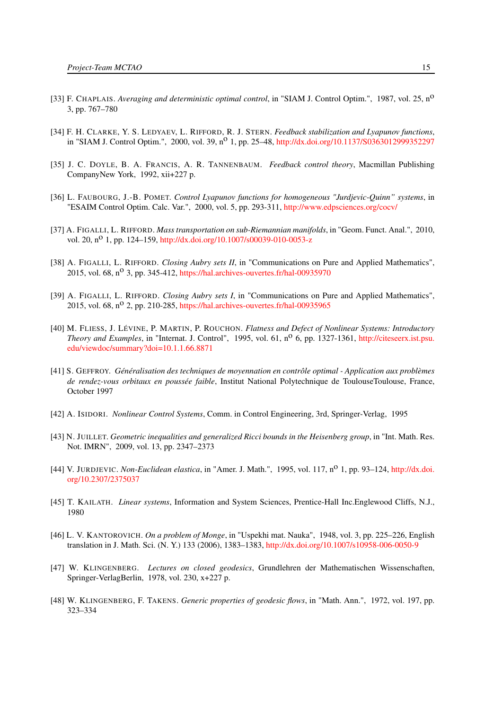- <span id="page-18-9"></span>[33] F. CHAPLAIS. *Averaging and deterministic optimal control*, in "SIAM J. Control Optim.", 1987, vol. 25, no 3, pp. 767–780
- <span id="page-18-5"></span>[34] F. H. CLARKE, Y. S. LEDYAEV, L. RIFFORD, R. J. STERN. *Feedback stabilization and Lyapunov functions*, in "SIAM J. Control Optim.", 2000, vol. 39, n<sup>o</sup> 1, pp. 25–48, <http://dx.doi.org/10.1137/S0363012999352297>
- <span id="page-18-1"></span>[35] J. C. DOYLE, B. A. FRANCIS, A. R. TANNENBAUM. *Feedback control theory*, Macmillan Publishing CompanyNew York, 1992, xii+227 p.
- <span id="page-18-4"></span>[36] L. FAUBOURG, J.-B. POMET. *Control Lyapunov functions for homogeneous "Jurdjevic-Quinn" systems*, in "ESAIM Control Optim. Calc. Var.", 2000, vol. 5, pp. 293-311, <http://www.edpsciences.org/cocv/>
- <span id="page-18-7"></span>[37] A. FIGALLI, L. RIFFORD. *Mass transportation on sub-Riemannian manifolds*, in "Geom. Funct. Anal.", 2010, vol. 20, n<sup>o</sup> 1, pp. 124–159, <http://dx.doi.org/10.1007/s00039-010-0053-z>
- <span id="page-18-15"></span>[38] A. FIGALLI, L. RIFFORD. *Closing Aubry sets II*, in "Communications on Pure and Applied Mathematics", 2015, vol.  $68$ ,  $n^{\circ}$  3, pp. 345-412, <https://hal.archives-ouvertes.fr/hal-00935970>
- <span id="page-18-14"></span>[39] A. FIGALLI, L. RIFFORD. *Closing Aubry sets I*, in "Communications on Pure and Applied Mathematics", 2015, vol. 68, n<sup>o</sup> 2, pp. 210-285, <https://hal.archives-ouvertes.fr/hal-00935965>
- <span id="page-18-2"></span>[40] M. FLIESS, J. LÉVINE, P. MARTIN, P. ROUCHON. *Flatness and Defect of Nonlinear Systems: Introductory Theory and Examples*, in "Internat. J. Control", 1995, vol. 61, n<sup>o</sup> 6, pp. 1327-1361, [http://citeseerx.ist.psu.](http://citeseerx.ist.psu.edu/viewdoc/summary?doi=10.1.1.66.8871) [edu/viewdoc/summary?doi=10.1.1.66.8871](http://citeseerx.ist.psu.edu/viewdoc/summary?doi=10.1.1.66.8871)
- <span id="page-18-10"></span>[41] S. GEFFROY. *Généralisation des techniques de moyennation en contrôle optimal - Application aux problèmes* de rendez-vous orbitaux en poussée faible, Institut National Polytechnique de ToulouseToulouse, France, October 1997
- <span id="page-18-3"></span>[42] A. ISIDORI. *Nonlinear Control Systems*, Comm. in Control Engineering, 3rd, Springer-Verlag, 1995
- <span id="page-18-8"></span>[43] N. JUILLET. *Geometric inequalities and generalized Ricci bounds in the Heisenberg group*, in "Int. Math. Res. Not. IMRN", 2009, vol. 13, pp. 2347–2373
- <span id="page-18-11"></span>[44] V. JURDJEVIC. *Non-Euclidean elastica*, in "Amer. J. Math.", 1995, vol. 117, no 1, pp. 93–124, [http://dx.doi.](http://dx.doi.org/10.2307/2375037) [org/10.2307/2375037](http://dx.doi.org/10.2307/2375037)
- <span id="page-18-0"></span>[45] T. KAILATH. *Linear systems*, Information and System Sciences, Prentice-Hall Inc.Englewood Cliffs, N.J., 1980
- <span id="page-18-6"></span>[46] L. V. KANTOROVICH. *On a problem of Monge*, in "Uspekhi mat. Nauka", 1948, vol. 3, pp. 225–226, English translation in J. Math. Sci. (N. Y.) 133 (2006), 1383–1383, <http://dx.doi.org/10.1007/s10958-006-0050-9>
- <span id="page-18-12"></span>[47] W. KLINGENBERG. *Lectures on closed geodesics*, Grundlehren der Mathematischen Wissenschaften, Springer-VerlagBerlin, 1978, vol. 230, x+227 p.
- <span id="page-18-13"></span>[48] W. KLINGENBERG, F. TAKENS. *Generic properties of geodesic flows*, in "Math. Ann.", 1972, vol. 197, pp. 323–334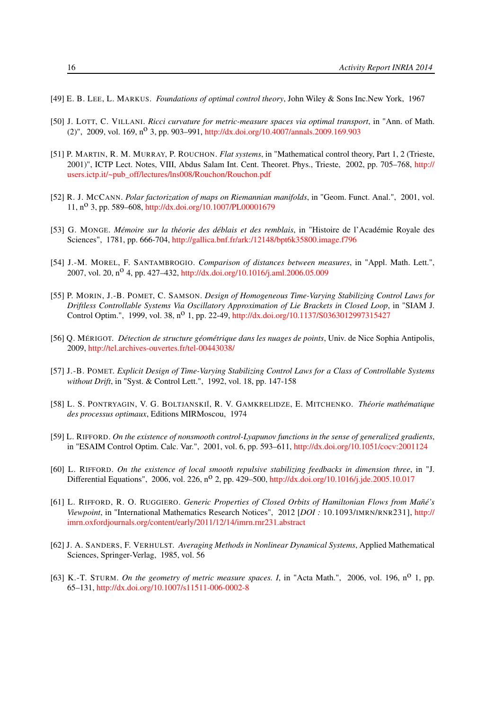- <span id="page-19-1"></span>[49] E. B. LEE, L. MARKUS. *Foundations of optimal control theory*, John Wiley & Sons Inc.New York, 1967
- <span id="page-19-9"></span>[50] J. LOTT, C. VILLANI. *Ricci curvature for metric-measure spaces via optimal transport*, in "Ann. of Math. (2)", 2009, vol. 169, n<sup>o</sup> 3, pp. 903–991, <http://dx.doi.org/10.4007/annals.2009.169.903>
- <span id="page-19-0"></span>[51] P. MARTIN, R. M. MURRAY, P. ROUCHON. *Flat systems*, in "Mathematical control theory, Part 1, 2 (Trieste, 2001)", ICTP Lect. Notes, VIII, Abdus Salam Int. Cent. Theoret. Phys., Trieste, 2002, pp. 705–768, [http://](http://users.ictp.it/~pub_off/lectures/lns008/Rouchon/Rouchon.pdf) [users.ictp.it/~pub\\_off/lectures/lns008/Rouchon/Rouchon.pdf](http://users.ictp.it/~pub_off/lectures/lns008/Rouchon/Rouchon.pdf)
- <span id="page-19-8"></span>[52] R. J. MCCANN. *Polar factorization of maps on Riemannian manifolds*, in "Geom. Funct. Anal.", 2001, vol. 11, no 3, pp. 589–608, <http://dx.doi.org/10.1007/PL00001679>
- <span id="page-19-7"></span>[53] G. MONGE. *Mémoire sur la théorie des déblais et des remblais*, in "Histoire de l'Académie Royale des Sciences", 1781, pp. 666-704, <http://gallica.bnf.fr/ark:/12148/bpt6k35800.image.f796>
- <span id="page-19-12"></span>[54] J.-M. MOREL, F. SANTAMBROGIO. *Comparison of distances between measures*, in "Appl. Math. Lett.", 2007, vol. 20, n<sup>o</sup> 4, pp. 427–432, <http://dx.doi.org/10.1016/j.aml.2006.05.009>
- <span id="page-19-3"></span>[55] P. MORIN, J.-B. POMET, C. SAMSON. *Design of Homogeneous Time-Varying Stabilizing Control Laws for Driftless Controllable Systems Via Oscillatory Approximation of Lie Brackets in Closed Loop*, in "SIAM J. Control Optim.", 1999, vol. 38, n<sup>o</sup> 1, pp. 22-49, <http://dx.doi.org/10.1137/S0363012997315427>
- <span id="page-19-13"></span>[56] Q. MÉRIGOT. *Détection de structure géométrique dans les nuages de points*, Univ. de Nice Sophia Antipolis, 2009, <http://tel.archives-ouvertes.fr/tel-00443038/>
- <span id="page-19-4"></span>[57] J.-B. POMET. *Explicit Design of Time-Varying Stabilizing Control Laws for a Class of Controllable Systems without Drift*, in "Syst. & Control Lett.", 1992, vol. 18, pp. 147-158
- <span id="page-19-2"></span>[58] L. S. PONTRYAGIN, V. G. BOLTJANSKIĬ, R. V. GAMKRELIDZE, E. MITCHENKO. Théorie mathématique *des processus optimaux*, Editions MIRMoscou, 1974
- <span id="page-19-5"></span>[59] L. RIFFORD. *On the existence of nonsmooth control-Lyapunov functions in the sense of generalized gradients*, in "ESAIM Control Optim. Calc. Var.", 2001, vol. 6, pp. 593–611, <http://dx.doi.org/10.1051/cocv:2001124>
- <span id="page-19-6"></span>[60] L. RIFFORD. *On the existence of local smooth repulsive stabilizing feedbacks in dimension three*, in "J. Differential Equations", 2006, vol. 226, n<sup>o</sup> 2, pp. 429–500, <http://dx.doi.org/10.1016/j.jde.2005.10.017>
- <span id="page-19-14"></span>[61] L. RIFFORD, R. O. RUGGIERO. *Generic Properties of Closed Orbits of Hamiltonian Flows from Mañé's Viewpoint*, in "International Mathematics Research Notices", 2012 [*DOI :* 10.1093/IMRN/RNR231], [http://](http://imrn.oxfordjournals.org/content/early/2011/12/14/imrn.rnr231.abstract) [imrn.oxfordjournals.org/content/early/2011/12/14/imrn.rnr231.abstract](http://imrn.oxfordjournals.org/content/early/2011/12/14/imrn.rnr231.abstract)
- <span id="page-19-11"></span>[62] J. A. SANDERS, F. VERHULST. *Averaging Methods in Nonlinear Dynamical Systems*, Applied Mathematical Sciences, Springer-Verlag, 1985, vol. 56
- <span id="page-19-10"></span>[63] K.-T. STURM. *On the geometry of metric measure spaces. I*, in "Acta Math.", 2006, vol. 196, no 1, pp. 65–131, <http://dx.doi.org/10.1007/s11511-006-0002-8>